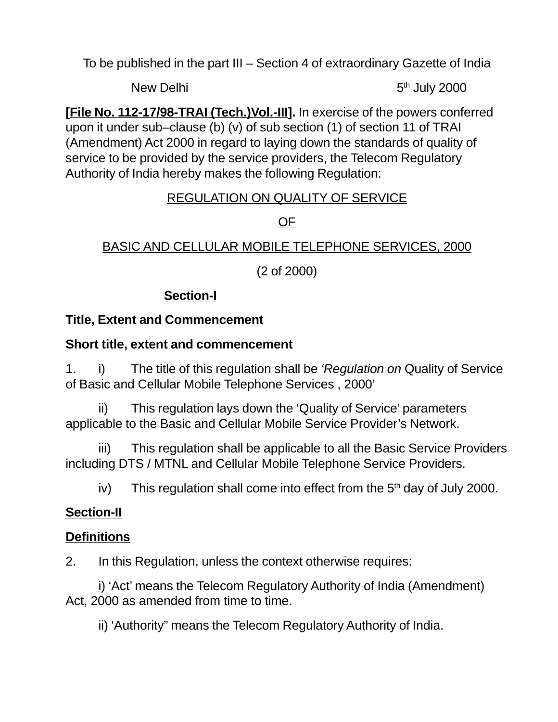To be published in the part III – Section 4 of extraordinary Gazette of India

New Delhi 5th July 2000

**[File No. 112-17/98-TRAI (Tech.)Vol.-III].** In exercise of the powers conferred upon it under sub–clause (b) (v) of sub section (1) of section 11 of TRAI (Amendment) Act 2000 in regard to laying down the standards of quality of service to be provided by the service providers, the Telecom Regulatory Authority of India hereby makes the following Regulation:

### REGULATION ON QUALITY OF SERVICE

# OF

# BASIC AND CELLULAR MOBILE TELEPHONE SERVICES, 2000

(2 of 2000)

# **Section-I**

# **Title, Extent and Commencement**

### **Short title, extent and commencement**

1. i) The title of this regulation shall be 'Regulation on Quality of Service of Basic and Cellular Mobile Telephone Services , 2000'

ii) This regulation lays down the 'Quality of Service' parameters applicable to the Basic and Cellular Mobile Service Provider's Network.

iii) This regulation shall be applicable to all the Basic Service Providers including DTS / MTNL and Cellular Mobile Telephone Service Providers.

iv) This regulation shall come into effect from the  $5<sup>th</sup>$  day of July 2000.

# **Section-II**

# **Definitions**

2. In this Regulation, unless the context otherwise requires:

i) 'Act' means the Telecom Regulatory Authority of India (Amendment) Act, 2000 as amended from time to time.

ii) 'Authority" means the Telecom Regulatory Authority of India.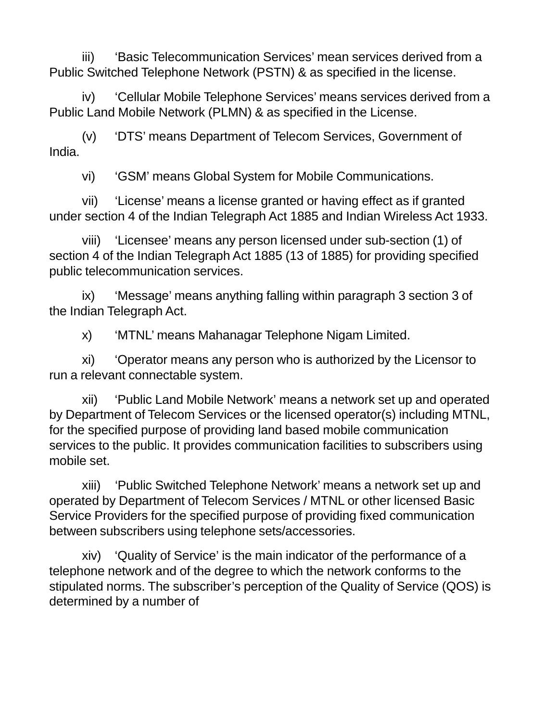iii) 'Basic Telecommunication Services' mean services derived from a Public Switched Telephone Network (PSTN) & as specified in the license.

iv) 'Cellular Mobile Telephone Services' means services derived from a Public Land Mobile Network (PLMN) & as specified in the License.

(v) 'DTS' means Department of Telecom Services, Government of India.

vi) 'GSM' means Global System for Mobile Communications.

vii) 'License' means a license granted or having effect as if granted under section 4 of the Indian Telegraph Act 1885 and Indian Wireless Act 1933.

viii) 'Licensee' means any person licensed under sub-section (1) of section 4 of the Indian Telegraph Act 1885 (13 of 1885) for providing specified public telecommunication services.

ix) 'Message' means anything falling within paragraph 3 section 3 of the Indian Telegraph Act.

x) 'MTNL' means Mahanagar Telephone Nigam Limited.

xi) 'Operator means any person who is authorized by the Licensor to run a relevant connectable system.

xii) 'Public Land Mobile Network' means a network set up and operated by Department of Telecom Services or the licensed operator(s) including MTNL, for the specified purpose of providing land based mobile communication services to the public. It provides communication facilities to subscribers using mobile set.

xiii) 'Public Switched Telephone Network' means a network set up and operated by Department of Telecom Services / MTNL or other licensed Basic Service Providers for the specified purpose of providing fixed communication between subscribers using telephone sets/accessories.

xiv) 'Quality of Service' is the main indicator of the performance of a telephone network and of the degree to which the network conforms to the stipulated norms. The subscriber's perception of the Quality of Service (QOS) is determined by a number of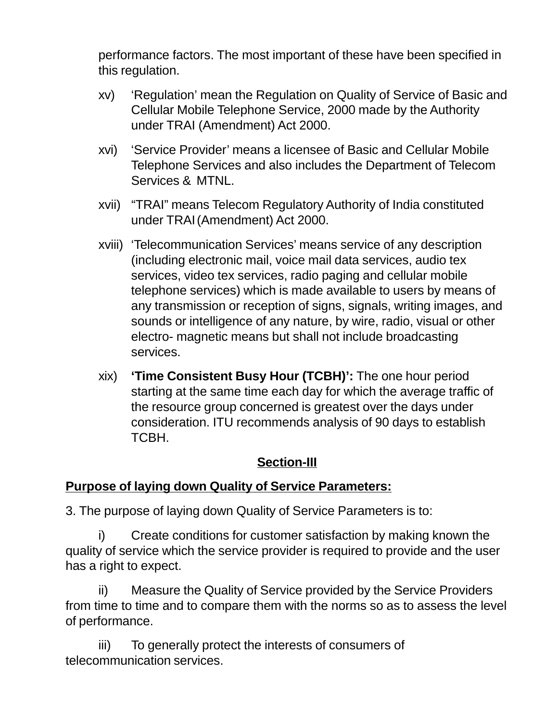performance factors. The most important of these have been specified in this regulation.

- xv) 'Regulation' mean the Regulation on Quality of Service of Basic and Cellular Mobile Telephone Service, 2000 made by the Authority under TRAI (Amendment) Act 2000.
- xvi) 'Service Provider' means a licensee of Basic and Cellular Mobile Telephone Services and also includes the Department of Telecom Services & MTNL.
- xvii) "TRAI" means Telecom Regulatory Authority of India constituted under TRAI(Amendment) Act 2000.
- xviii) 'Telecommunication Services' means service of any description (including electronic mail, voice mail data services, audio tex services, video tex services, radio paging and cellular mobile telephone services) which is made available to users by means of any transmission or reception of signs, signals, writing images, and sounds or intelligence of any nature, by wire, radio, visual or other electro- magnetic means but shall not include broadcasting services.
- xix) **'Time Consistent Busy Hour (TCBH)':** The one hour period starting at the same time each day for which the average traffic of the resource group concerned is greatest over the days under consideration. ITU recommends analysis of 90 days to establish TCBH.

### **Section-III**

### **Purpose of laying down Quality of Service Parameters:**

3. The purpose of laying down Quality of Service Parameters is to:

i) Create conditions for customer satisfaction by making known the quality of service which the service provider is required to provide and the user has a right to expect.

ii) Measure the Quality of Service provided by the Service Providers from time to time and to compare them with the norms so as to assess the level of performance.

iii) To generally protect the interests of consumers of telecommunication services.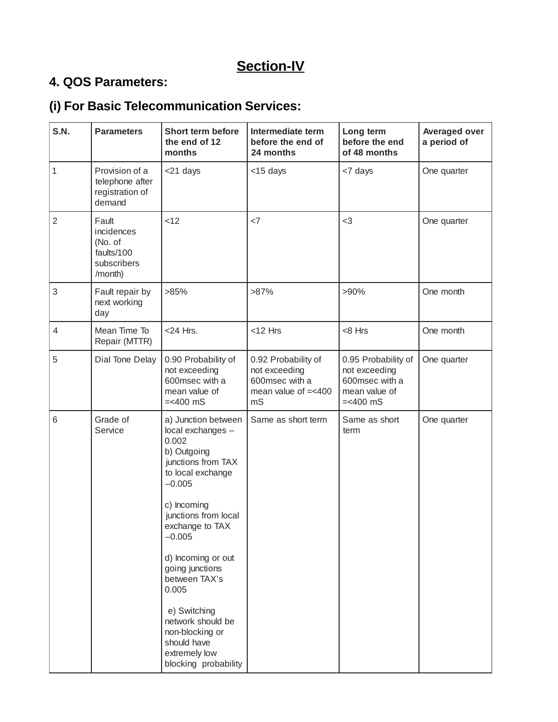# **Section-IV**

# **4. QOS Parameters:**

# **(i) For Basic Telecommunication Services:**

| S.N.           | <b>Parameters</b>                                                      | Short term before<br>the end of 12<br>months                                                                                                                                                                                                                                                                                                                                     | Intermediate term<br>before the end of<br>24 months                                    | Long term<br>before the end<br>of 48 months                                            | <b>Averaged over</b><br>a period of |
|----------------|------------------------------------------------------------------------|----------------------------------------------------------------------------------------------------------------------------------------------------------------------------------------------------------------------------------------------------------------------------------------------------------------------------------------------------------------------------------|----------------------------------------------------------------------------------------|----------------------------------------------------------------------------------------|-------------------------------------|
| $\mathbf{1}$   | Provision of a<br>telephone after<br>registration of<br>demand         | <21 days                                                                                                                                                                                                                                                                                                                                                                         | <15 days                                                                               | <7 days                                                                                | One quarter                         |
| $\overline{2}$ | Fault<br>incidences<br>(No. of<br>faults/100<br>subscribers<br>/month) | < 12                                                                                                                                                                                                                                                                                                                                                                             | <7                                                                                     | $<$ 3                                                                                  | One quarter                         |
| 3              | Fault repair by<br>next working<br>day                                 | >85%                                                                                                                                                                                                                                                                                                                                                                             | $>87\%$                                                                                | $>90\%$                                                                                | One month                           |
| $\overline{4}$ | Mean Time To<br>Repair (MTTR)                                          | $<$ 24 Hrs.                                                                                                                                                                                                                                                                                                                                                                      | $<$ 12 Hrs                                                                             | <8 Hrs                                                                                 | One month                           |
| 5              | Dial Tone Delay                                                        | 0.90 Probability of<br>not exceeding<br>600msec with a<br>mean value of<br>$=<400$ mS                                                                                                                                                                                                                                                                                            | 0.92 Probability of<br>not exceeding<br>600msec with a<br>mean value of $=<$ 400<br>mS | 0.95 Probability of<br>not exceeding<br>600msec with a<br>mean value of<br>$=<$ 400 mS | One quarter                         |
| 6              | Grade of<br>Service                                                    | a) Junction between<br>local exchanges -<br>0.002<br>b) Outgoing<br>junctions from TAX<br>to local exchange<br>$-0.005$<br>c) Incoming<br>junctions from local<br>exchange to TAX<br>$-0.005$<br>d) Incoming or out<br>going junctions<br>between TAX's<br>0.005<br>e) Switching<br>network should be<br>non-blocking or<br>should have<br>extremely low<br>blocking probability | Same as short term                                                                     | Same as short<br>term                                                                  | One quarter                         |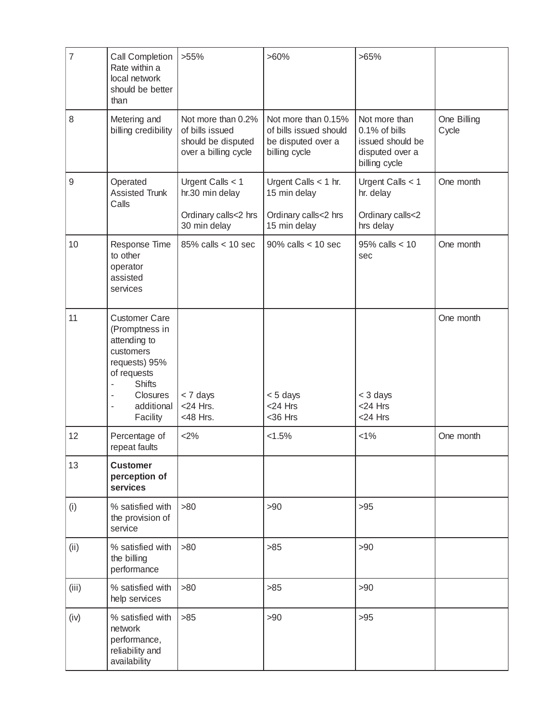| 7     | <b>Call Completion</b><br>Rate within a<br>local network<br>should be better<br>than                                                                       | $>55\%$                                                                             | $>60\%$                                                                              | >65%                                                                                   |                      |
|-------|------------------------------------------------------------------------------------------------------------------------------------------------------------|-------------------------------------------------------------------------------------|--------------------------------------------------------------------------------------|----------------------------------------------------------------------------------------|----------------------|
| 8     | Metering and<br>billing credibility                                                                                                                        | Not more than 0.2%<br>of bills issued<br>should be disputed<br>over a billing cycle | Not more than 0.15%<br>of bills issued should<br>be disputed over a<br>billing cycle | Not more than<br>0.1% of bills<br>issued should be<br>disputed over a<br>billing cycle | One Billing<br>Cycle |
| 9     | Operated<br>Assisted Trunk<br>Calls                                                                                                                        | Urgent Calls < 1<br>hr.30 min delay<br>Ordinary calls<2 hrs<br>30 min delay         | Urgent Calls < 1 hr.<br>15 min delay<br>Ordinary calls<2 hrs<br>15 min delay         | Urgent Calls < 1<br>hr. delay<br>Ordinary calls<2<br>hrs delay                         | One month            |
| 10    | Response Time<br>to other<br>operator<br>assisted<br>services                                                                                              | $85\%$ calls $<$ 10 sec                                                             | $90\%$ calls $<$ 10 sec                                                              | $95\%$ calls < 10<br>sec                                                               | One month            |
| 11    | <b>Customer Care</b><br>(Promptness in<br>attending to<br>customers<br>requests) 95%<br>of requests<br><b>Shifts</b><br>Closures<br>additional<br>Facility | < 7 days<br>$<$ 24 Hrs.<br><48 Hrs.                                                 | < 5 days<br>$<$ 24 Hrs<br><36 Hrs                                                    | $<$ 3 days<br>$<$ 24 Hrs<br><24 Hrs                                                    | One month            |
| 12    | Percentage of<br>repeat faults                                                                                                                             | <2%                                                                                 | < 1.5%                                                                               | $< 1\%$                                                                                | One month            |
| 13    | <b>Customer</b><br>perception of<br>services                                                                                                               |                                                                                     |                                                                                      |                                                                                        |                      |
| (i)   | % satisfied with<br>the provision of<br>service                                                                                                            | >80                                                                                 | >90                                                                                  | $>95$                                                                                  |                      |
| (ii)  | % satisfied with<br>the billing<br>performance                                                                                                             | >80                                                                                 | $>85$                                                                                | >90                                                                                    |                      |
| (iii) | % satisfied with<br>help services                                                                                                                          | >80                                                                                 | $>85$                                                                                | >90                                                                                    |                      |
| (iv)  | % satisfied with<br>network<br>performance,<br>reliability and<br>availability                                                                             | $>85$                                                                               | >90                                                                                  | $>95$                                                                                  |                      |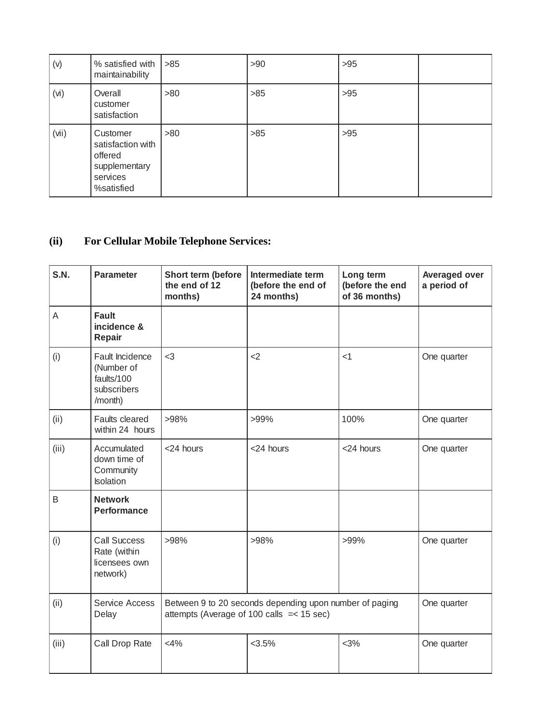| (v)   | % satisfied with<br>maintainability                                                 | $>85$ | >90   | $>95$ |  |
|-------|-------------------------------------------------------------------------------------|-------|-------|-------|--|
| (vi)  | Overall<br>customer<br>satisfaction                                                 | >80   | >85   | $>95$ |  |
| (vii) | Customer<br>satisfaction with<br>offered<br>supplementary<br>services<br>%satisfied | >80   | $>85$ | $>95$ |  |

# **(ii) For Cellular Mobile Telephone Services:**

| S.N.  | <b>Parameter</b>                                                      | Short term (before<br>the end of 12<br>months)                                                          | Intermediate term<br>(before the end of<br>24 months) | Long term<br>(before the end<br>of 36 months) | <b>Averaged over</b><br>a period of |
|-------|-----------------------------------------------------------------------|---------------------------------------------------------------------------------------------------------|-------------------------------------------------------|-----------------------------------------------|-------------------------------------|
| A     | <b>Fault</b><br>incidence &<br>Repair                                 |                                                                                                         |                                                       |                                               |                                     |
| (i)   | Fault Incidence<br>(Number of<br>faults/100<br>subscribers<br>/month) | $3$                                                                                                     | $<$ 2                                                 | $<$ 1                                         | One quarter                         |
| (ii)  | Faults cleared<br>within 24 hours                                     | >98%                                                                                                    | >99%                                                  | 100%                                          | One quarter                         |
| (iii) | Accumulated<br>down time of<br>Community<br><b>Isolation</b>          | <24 hours                                                                                               | <24 hours                                             | <24 hours                                     | One quarter                         |
| B     | <b>Network</b><br><b>Performance</b>                                  |                                                                                                         |                                                       |                                               |                                     |
| (i)   | <b>Call Success</b><br>Rate (within<br>licensees own<br>network)      | >98%                                                                                                    | >98%                                                  | $>99\%$                                       | One quarter                         |
| (ii)  | Service Access<br>Delay                                               | Between 9 to 20 seconds depending upon number of paging<br>attempts (Average of 100 calls $=$ < 15 sec) |                                                       |                                               | One quarter                         |
| (iii) | Call Drop Rate                                                        | $<$ 4%                                                                                                  | $<3.5\%$                                              | $<3\%$                                        | One quarter                         |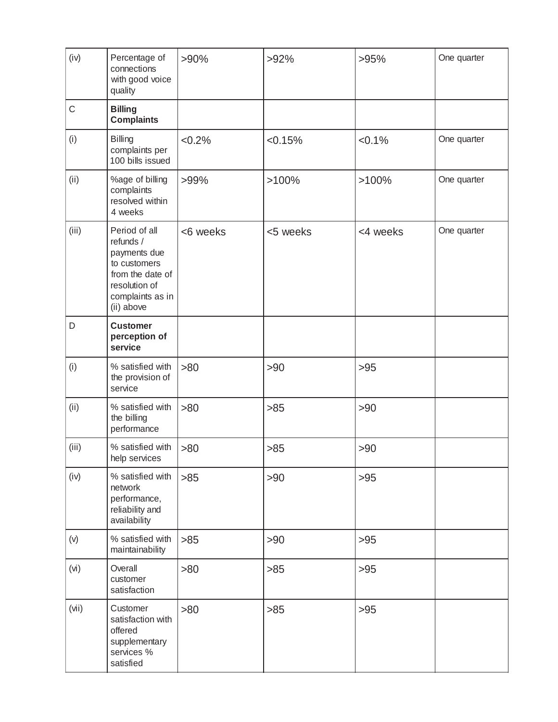| (iv)        | Percentage of<br>connections<br>with good voice<br>quality                                                                        | $>90\%$  | $>92\%$  | >95%      | One quarter |
|-------------|-----------------------------------------------------------------------------------------------------------------------------------|----------|----------|-----------|-------------|
| $\mathsf C$ | <b>Billing</b><br><b>Complaints</b>                                                                                               |          |          |           |             |
| (i)         | <b>Billing</b><br>complaints per<br>100 bills issued                                                                              | < 0.2%   | < 0.15%  | $< 0.1\%$ | One quarter |
| (ii)        | %age of billing<br>complaints<br>resolved within<br>4 weeks                                                                       | >99%     | >100%    | $>100\%$  | One quarter |
| (iii)       | Period of all<br>refunds /<br>payments due<br>to customers<br>from the date of<br>resolution of<br>complaints as in<br>(ii) above | <6 weeks | <5 weeks | <4 weeks  | One quarter |
| D           | <b>Customer</b><br>perception of<br>service                                                                                       |          |          |           |             |
| (i)         | % satisfied with<br>the provision of<br>service                                                                                   | >80      | >90      | $>95$     |             |
| (ii)        | % satisfied with<br>the billing<br>performance                                                                                    | >80      | >85      | >90       |             |
| (iii)       | % satisfied with<br>help services                                                                                                 | >80      | $>85$    | >90       |             |
| (iv)        | % satisfied with<br>network<br>performance,<br>reliability and<br>availability                                                    | $>85$    | >90      | $>95$     |             |
| (v)         | % satisfied with<br>maintainability                                                                                               | $>85$    | >90      | $>95$     |             |
| (vi)        | Overall<br>customer<br>satisfaction                                                                                               | >80      | $>85$    | $>95$     |             |
| (vii)       | Customer<br>satisfaction with<br>offered<br>supplementary<br>services %<br>satisfied                                              | >80      | $>85$    | $>95$     |             |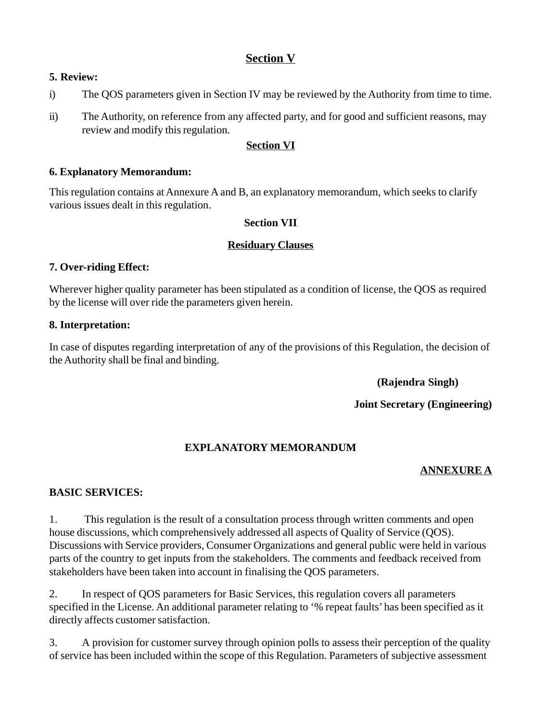#### **Section V**

#### **5. Review:**

- i) The QOS parameters given in Section IV may be reviewed by the Authority from time to time.
- ii) The Authority, on reference from any affected party, and for good and sufficient reasons, may review and modify this regulation.

#### **Section VI**

#### **6. Explanatory Memorandum:**

This regulation contains at Annexure A and B, an explanatory memorandum, which seeks to clarify various issues dealt in this regulation.

#### **Section VII**

#### **Residuary Clauses**

#### **7. Over-riding Effect:**

Wherever higher quality parameter has been stipulated as a condition of license, the QOS as required by the license will over ride the parameters given herein.

#### **8. Interpretation:**

In case of disputes regarding interpretation of any of the provisions of this Regulation, the decision of the Authority shall be final and binding.

**(Rajendra Singh)**

**Joint Secretary (Engineering)**

#### **EXPLANATORY MEMORANDUM**

#### **ANNEXURE A**

#### **BASIC SERVICES:**

1. This regulation is the result of a consultation process through written comments and open house discussions, which comprehensively addressed all aspects of Quality of Service (QOS). Discussions with Service providers, Consumer Organizations and general public were held in various parts of the country to get inputs from the stakeholders. The comments and feedback received from stakeholders have been taken into account in finalising the QOS parameters.

2. In respect of QOS parameters for Basic Services, this regulation covers all parameters specified in the License. An additional parameter relating to '% repeat faults' has been specified as it directly affects customer satisfaction.

3. A provision for customer survey through opinion polls to assess their perception of the quality of service has been included within the scope of this Regulation. Parameters of subjective assessment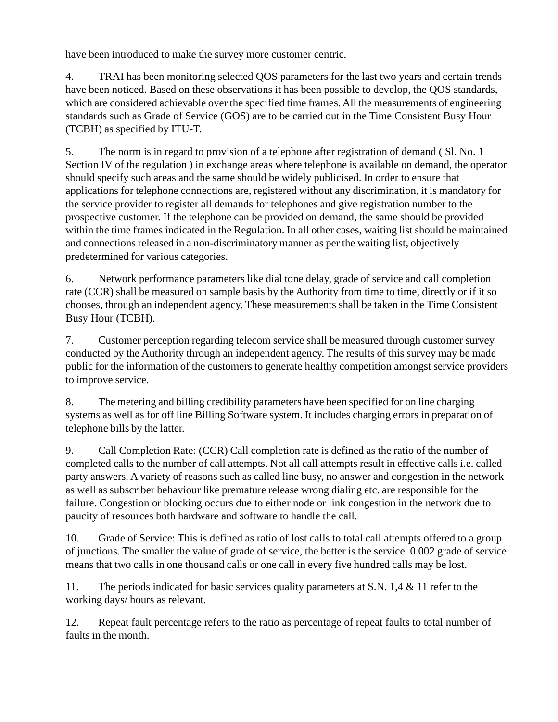have been introduced to make the survey more customer centric.

4. TRAI has been monitoring selected QOS parameters for the last two years and certain trends have been noticed. Based on these observations it has been possible to develop, the QOS standards, which are considered achievable over the specified time frames. All the measurements of engineering standards such as Grade of Service (GOS) are to be carried out in the Time Consistent Busy Hour (TCBH) as specified by ITU-T.

5. The norm is in regard to provision of a telephone after registration of demand ( Sl. No. 1 Section IV of the regulation ) in exchange areas where telephone is available on demand, the operator should specify such areas and the same should be widely publicised. In order to ensure that applications for telephone connections are, registered without any discrimination, it is mandatory for the service provider to register all demands for telephones and give registration number to the prospective customer. If the telephone can be provided on demand, the same should be provided within the time frames indicated in the Regulation. In all other cases, waiting list should be maintained and connections released in a non-discriminatory manner as per the waiting list, objectively predetermined for various categories.

6. Network performance parameters like dial tone delay, grade of service and call completion rate (CCR) shall be measured on sample basis by the Authority from time to time, directly or if it so chooses, through an independent agency. These measurements shall be taken in the Time Consistent Busy Hour (TCBH).

7. Customer perception regarding telecom service shall be measured through customer survey conducted by the Authority through an independent agency. The results of this survey may be made public for the information of the customers to generate healthy competition amongst service providers to improve service.

8. The metering and billing credibility parameters have been specified for on line charging systems as well as for off line Billing Software system. It includes charging errors in preparation of telephone bills by the latter.

9. Call Completion Rate: (CCR) Call completion rate is defined as the ratio of the number of completed calls to the number of call attempts. Not all call attempts result in effective calls i.e. called party answers. A variety of reasons such as called line busy, no answer and congestion in the network as well as subscriber behaviour like premature release wrong dialing etc. are responsible for the failure. Congestion or blocking occurs due to either node or link congestion in the network due to paucity of resources both hardware and software to handle the call.

10. Grade of Service: This is defined as ratio of lost calls to total call attempts offered to a group of junctions. The smaller the value of grade of service, the better is the service. 0.002 grade of service means that two calls in one thousand calls or one call in every five hundred calls may be lost.

11. The periods indicated for basic services quality parameters at S.N. 1,4 & 11 refer to the working days/ hours as relevant.

12. Repeat fault percentage refers to the ratio as percentage of repeat faults to total number of faults in the month.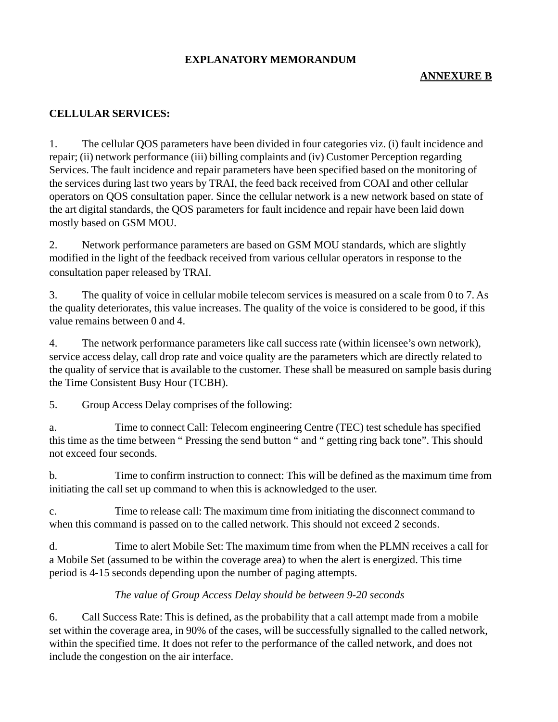#### **EXPLANATORY MEMORANDUM**

#### **ANNEXURE B**

#### **CELLULAR SERVICES:**

1. The cellular QOS parameters have been divided in four categories viz. (i) fault incidence and repair; (ii) network performance (iii) billing complaints and (iv) Customer Perception regarding Services. The fault incidence and repair parameters have been specified based on the monitoring of the services during last two years by TRAI, the feed back received from COAI and other cellular operators on QOS consultation paper. Since the cellular network is a new network based on state of the art digital standards, the QOS parameters for fault incidence and repair have been laid down mostly based on GSM MOU.

2. Network performance parameters are based on GSM MOU standards, which are slightly modified in the light of the feedback received from various cellular operators in response to the consultation paper released by TRAI.

3. The quality of voice in cellular mobile telecom services is measured on a scale from 0 to 7. As the quality deteriorates, this value increases. The quality of the voice is considered to be good, if this value remains between 0 and 4.

4. The network performance parameters like call success rate (within licensee's own network), service access delay, call drop rate and voice quality are the parameters which are directly related to the quality of service that is available to the customer. These shall be measured on sample basis during the Time Consistent Busy Hour (TCBH).

5. Group Access Delay comprises of the following:

a. Time to connect Call: Telecom engineering Centre (TEC) test schedule has specified this time as the time between " Pressing the send button " and " getting ring back tone". This should not exceed four seconds.

b. Time to confirm instruction to connect: This will be defined as the maximum time from initiating the call set up command to when this is acknowledged to the user.

c. Time to release call: The maximum time from initiating the disconnect command to when this command is passed on to the called network. This should not exceed 2 seconds.

d. Time to alert Mobile Set: The maximum time from when the PLMN receives a call for a Mobile Set (assumed to be within the coverage area) to when the alert is energized. This time period is 4-15 seconds depending upon the number of paging attempts.

#### *The value of Group Access Delay should be between 9-20 seconds*

6. Call Success Rate: This is defined, as the probability that a call attempt made from a mobile set within the coverage area, in 90% of the cases, will be successfully signalled to the called network, within the specified time. It does not refer to the performance of the called network, and does not include the congestion on the air interface.